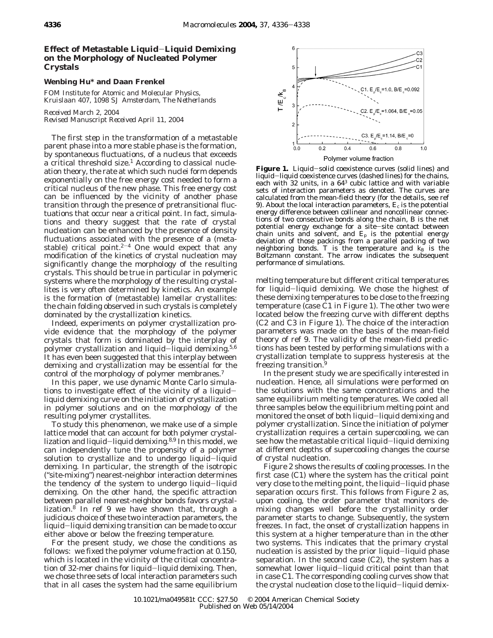## **Effect of Metastable Liquid**-**Liquid Demixing on the Morphology of Nucleated Polymer Crystals**

## **Wenbing Hu\* and Daan Frenkel**

*FOM Institute for Atomic and Molecular Physics, Kruislaan 407, 1098 SJ Amsterdam, The Netherlands*

*Received March 2, 2004 Revised Manuscript Received April 11, 2004*

The first step in the transformation of a metastable parent phase into a more stable phase is the formation, by spontaneous fluctuations, of a nucleus that exceeds a critical threshold size.<sup>1</sup> According to classical nucleation theory, the rate at which such nuclei form depends exponentially on the free energy cost needed to form a critical nucleus of the new phase. This free energy cost can be influenced by the vicinity of another phase transition through the presence of pretransitional fluctuations that occur near a critical point. In fact, simulations and theory suggest that the rate of crystal nucleation can be enhanced by the presence of density fluctuations associated with the presence of a (metastable) critical point. $2-4$  One would expect that any modification of the kinetics of crystal nucleation may significantly change the morphology of the resulting crystals. This should be true in particular in polymeric systems where the morphology of the resulting crystallites is very often determined by kinetics. An example is the formation of (metastable) lamellar crystallites: the chain folding observed in such crystals is completely dominated by the crystallization kinetics.

Indeed, experiments on polymer crystallization provide evidence that the morphology of the polymer crystals that form is dominated by the interplay of polymer crystallization and liquid-liquid demixing.<sup>5,6</sup> It has even been suggested that this interplay between demixing and crystallization may be essential for the control of the morphology of polymer membranes.7

In this paper, we use dynamic Monte Carlo simulations to investigate effect of the vicinity of a liquidliquid demixing curve on the initiation of crystallization in polymer solutions and on the morphology of the resulting polymer crystallites.

To study this phenomenon, we make use of a simple lattice model that can account for both polymer crystallization and liquid-liquid demixing.<sup>8,9</sup> In this model, we can independently tune the propensity of a polymer solution to crystallize and to undergo liquid-liquid demixing. In particular, the strength of the isotropic ("site-mixing") nearest-neighbor interaction determines the tendency of the system to undergo liquid-liquid demixing. On the other hand, the specific attraction between parallel nearest-neighbor bonds favors crystallization. $8$  In ref 9 we have shown that, through a judicious choice of these two interaction parameters, the liquid-liquid demixing transition can be made to occur either above or below the freezing temperature.

For the present study, we chose the conditions as follows: we fixed the polymer volume fraction at 0.150, which is located in the vicinity of the critical concentration of 32-mer chains for liquid-liquid demixing. Then, we chose three sets of local interaction parameters such that in all cases the system had the same equilibrium



**Figure 1.** Liquid-solid coexistence curves (solid lines) and liquid-liquid coexistence curves (dashed lines) for the chains, each with 32 units, in a  $64<sup>3</sup>$  cubic lattice and with variable sets of interaction parameters as denoted. The curves are calculated from the mean-field theory (for the details, see ref 9). About the local interaction parameters,  $E_c$  is the potential energy difference between collinear and noncollinear connections of two consecutive bonds along the chain, *B* is the net potential energy exchange for a site-site contact between chain units and solvent, and *E*<sup>p</sup> is the potential energy deviation of those packings from a parallel packing of two neighboring bonds.  $T$  is the temperature and  $k_B$  is the Boltzmann constant. The arrow indicates the subsequent performance of simulations.

melting temperature but different critical temperatures for liquid-liquid demixing. We chose the highest of these demixing temperatures to be close to the freezing temperature (case C1 in Figure 1). The other two were located below the freezing curve with different depths (C2 and C3 in Figure 1). The choice of the interaction parameters was made on the basis of the mean-field theory of ref 9. The validity of the mean-field predictions has been tested by performing simulations with a crystallization template to suppress hysteresis at the freezing transition.9

In the present study we are specifically interested in nucleation. Hence, all simulations were performed on the solutions with the same concentrations and the same equilibrium melting temperatures. We cooled all three samples below the equilibrium melting point and monitored the onset of both liquid-liquid demixing and polymer crystallization. Since the initiation of polymer crystallization requires a certain supercooling, we can see how the metastable critical liquid-liquid demixing at different depths of supercooling changes the course of crystal nucleation.

Figure 2 shows the results of cooling processes. In the first case (C1) where the system has the critical point very close to the melting point, the liquid-liquid phase separation occurs first. This follows from Figure 2 as, upon cooling, the order parameter that monitors demixing changes well before the crystallinity order parameter starts to change. Subsequently, the system freezes. In fact, the onset of crystallization happens in this system at a higher temperature than in the other two systems. This indicates that the primary crystal nucleation is assisted by the prior liquid-liquid phase separation. In the second case (C2), the system has a somewhat lower liquid-liquid critical point than that in case C1. The corresponding cooling curves show that the crystal nucleation close to the liquid-liquid demix-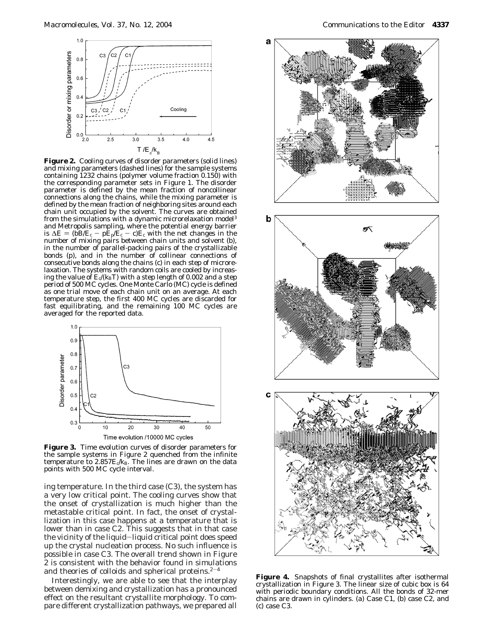

**Figure 2.** Cooling curves of disorder parameters (solid lines) and mixing parameters (dashed lines) for the sample systems containing 1232 chains (polymer volume fraction 0.150) with the corresponding parameter sets in Figure 1. The disorder parameter is defined by the mean fraction of noncollinear connections along the chains, while the mixing parameter is defined by the mean fraction of neighboring sites around each chain unit occupied by the solvent. The curves are obtained from the simulations with a dynamic microrelaxation model<sup>3</sup> and Metropolis sampling, where the potential energy barrier is  $\Delta E = (bB/E_c - pE_p/E_c - c)E_c$  with the net changes in the number of mixing pairs between chain units and solvent (*b*), in the number of parallel-packing pairs of the crystallizable bonds (*p*), and in the number of collinear connections of consecutive bonds along the chains (*c*) in each step of microrelaxation. The systems with random coils are cooled by increasing the value of  $E_c/(k_{\rm B}T)$  with a step length of 0.002 and a step period of 500 MC cycles. One Monte Carlo (MC) cycle is defined as one trial move of each chain unit on an average. At each temperature step, the first 400 MC cycles are discarded for fast equilibrating, and the remaining 100 MC cycles are averaged for the reported data.



**Figure 3.** Time evolution curves of disorder parameters for the sample systems in Figure 2 quenched from the infinite temperature to  $2.857E/k_B$ . The lines are drawn on the data points with 500 MC cycle interval.

ing temperature. In the third case (C3), the system has a very low critical point. The cooling curves show that the onset of crystallization is much higher than the metastable critical point. In fact, the onset of crystallization in this case happens at a temperature that is lower than in case C2. This suggests that in that case the vicinity of the liquid-liquid critical point does speed up the crystal nucleation process. No such influence is possible in case C3. The overall trend shown in Figure 2 is consistent with the behavior found in simulations and theories of colloids and spherical proteins. $2-4$ 

Interestingly, we are able to see that the interplay between demixing and crystallization has a pronounced effect on the resultant crystallite morphology. To compare different crystallization pathways, we prepared all



**Figure 4.** Snapshots of final crystallites after isothermal crystallization in Figure 3. The linear size of cubic box is 64 with periodic boundary conditions. All the bonds of 32-mer chains are drawn in cylinders. (a) Case C1, (b) case C2, and (c) case C3.